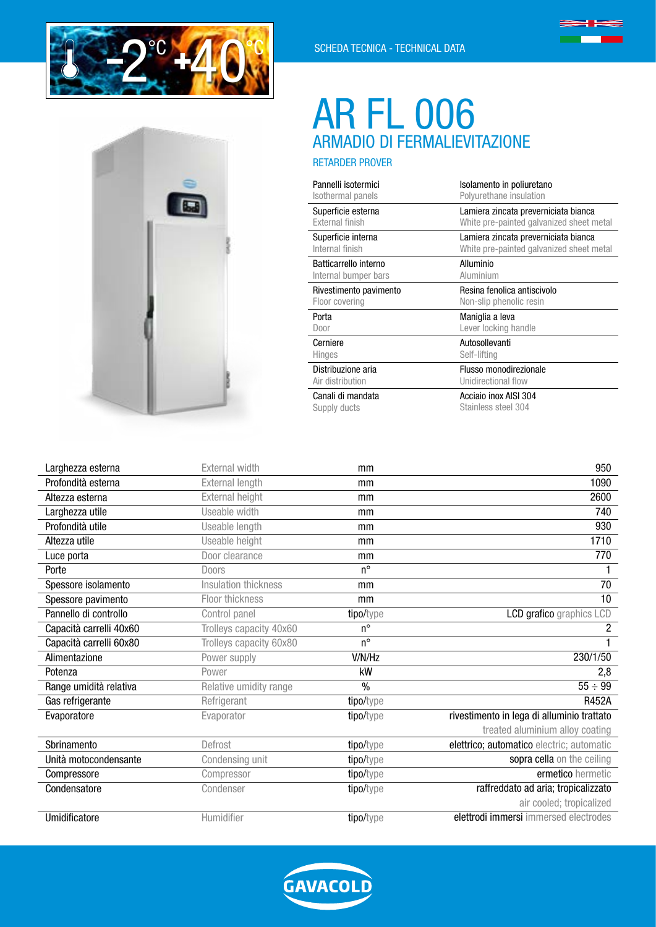



# ARMADIO DI FERMALIEVITAZIONE AR FL 006

RETARDER PROVER

| Pannelli isotermici    | Isolamento in poliuretano                |  |  |
|------------------------|------------------------------------------|--|--|
| Isothermal panels      | Polyurethane insulation                  |  |  |
| Superficie esterna     | Lamiera zincata preverniciata bianca     |  |  |
| External finish        | White pre-painted galvanized sheet metal |  |  |
| Superficie interna     | Lamiera zincata preverniciata bianca     |  |  |
| Internal finish        | White pre-painted galvanized sheet metal |  |  |
| Batticarrello interno  | Alluminio                                |  |  |
| Internal bumper bars   | Aluminium                                |  |  |
| Rivestimento pavimento | Resina fenolica antiscivolo              |  |  |
| Floor covering         | Non-slip phenolic resin                  |  |  |
| Porta                  | Maniglia a leva                          |  |  |
| Door                   | Lever locking handle                     |  |  |
| Cerniere               | Autosollevanti                           |  |  |
| Hinges                 | Self-lifting                             |  |  |
| Distribuzione aria     | Flusso monodirezionale                   |  |  |
| Air distribution       | Unidirectional flow                      |  |  |
| Canali di mandata      | Acciaio inox AISI 304                    |  |  |
| Supply ducts           | Stainless steel 304                      |  |  |

| Larghezza esterna       | External width          | mm          | 950                                        |
|-------------------------|-------------------------|-------------|--------------------------------------------|
| Profondità esterna      | <b>External length</b>  | mm          | 1090                                       |
| Altezza esterna         | External height         | mm          | 2600                                       |
| Larghezza utile         | Useable width           | mm          | 740                                        |
| Profondità utile        | Useable length          | mm          | 930                                        |
| Altezza utile           | Useable height          | mm          | 1710                                       |
| Luce porta              | Door clearance          | mm          | 770                                        |
| Porte                   | Doors                   | $n^{\circ}$ |                                            |
| Spessore isolamento     | Insulation thickness    | mm          | 70                                         |
| Spessore pavimento      | Floor thickness         | mm          | 10                                         |
| Pannello di controllo   | Control panel           | tipo/type   | LCD grafico graphics LCD                   |
| Capacità carrelli 40x60 | Trolleys capacity 40x60 | $n^{\circ}$ | 2                                          |
| Capacità carrelli 60x80 | Trolleys capacity 60x80 | $n^{\circ}$ |                                            |
| Alimentazione           | Power supply            | V/N/Hz      | 230/1/50                                   |
| Potenza                 | Power                   | kW          | 2,8                                        |
| Range umidità relativa  | Relative umidity range  | $\%$        | $55 \div 99$                               |
| Gas refrigerante        | Refrigerant             | tipo/type   | <b>R452A</b>                               |
| Evaporatore             | Evaporator              | tipo/type   | rivestimento in lega di alluminio trattato |
|                         |                         |             | treated aluminium alloy coating            |
| Sbrinamento             | Defrost                 | tipo/type   | elettrico; automatico electric; automatic  |
| Unità motocondensante   | Condensing unit         | tipo/type   | sopra cella on the ceiling                 |
| Compressore             | Compressor              | tipo/type   | ermetico hermetic                          |
| Condensatore            | Condenser               | tipo/type   | raffreddato ad aria; tropicalizzato        |
|                         |                         |             | air cooled; tropicalized                   |
| Umidificatore           | Humidifier              | tipo/type   | elettrodi immersi immersed electrodes      |

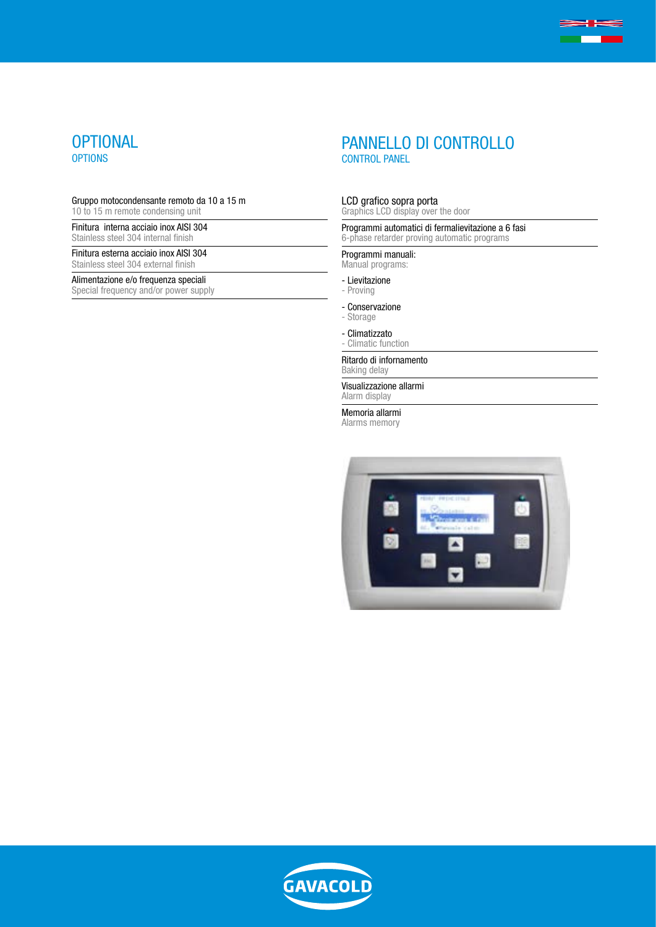

#### Gruppo motocondensante remoto da 10 a 15 m 10 to 15 m remote condensing unit

Finitura interna acciaio inox AISI 304

Stainless steel 304 internal finish

Finitura esterna acciaio inox AISI 304 Stainless steel 304 external finish

## Alimentazione e/o frequenza speciali

Special frequency and/or power supply

# PANNELLO DI CONTROLLO CONTROL PANEL

**SHEE** 

#### LCD grafico sopra porta

Graphics LCD display over the door

Programmi automatici di fermalievitazione a 6 fasi 6-phase retarder proving automatic programs

## Programmi manuali:

Manual programs:

- Lievitazione
- Proving
- Conservazione
- Storage
- Climatizzato
- Climatic function

### Ritardo di infornamento

Baking delay

Visualizzazione allarmi Alarm display

Memoria allarmi

Alarms memory



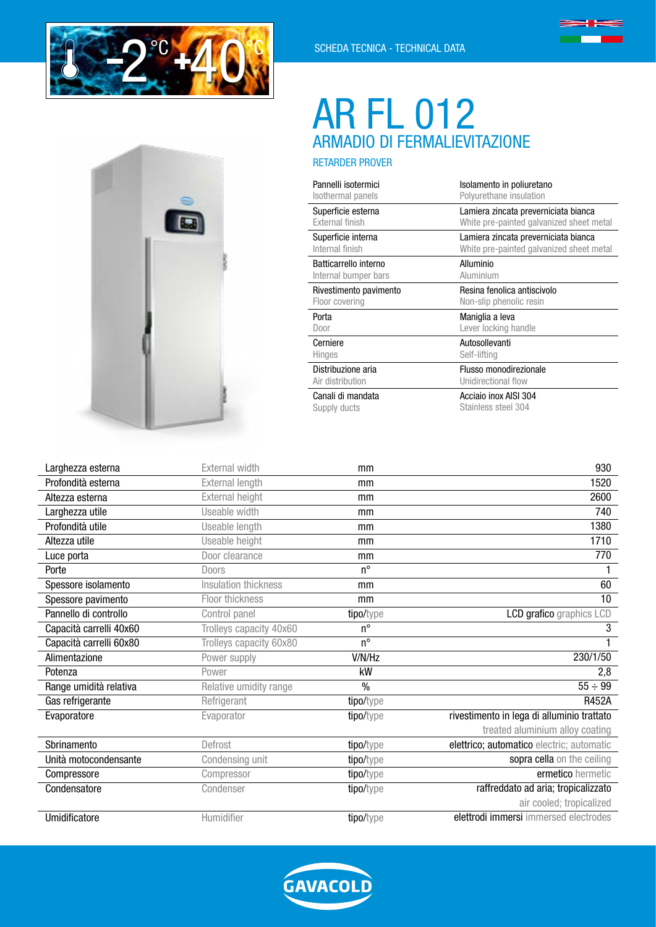



# ARMADIO DI FERMALIEVITAZIONE AR FL 012

RETARDER PROVER

| Pannelli isotermici    | Isolamento in poliuretano                |  |  |
|------------------------|------------------------------------------|--|--|
| Isothermal panels      | Polyurethane insulation                  |  |  |
| Superficie esterna     | Lamiera zincata preverniciata bianca     |  |  |
| <b>External finish</b> | White pre-painted galvanized sheet metal |  |  |
| Superficie interna     | Lamiera zincata preverniciata bianca     |  |  |
| Internal finish        | White pre-painted galvanized sheet metal |  |  |
| Batticarrello interno  | Alluminio                                |  |  |
| Internal bumper bars   | Aluminium                                |  |  |
| Rivestimento pavimento | Resina fenolica antiscivolo              |  |  |
| Floor covering         | Non-slip phenolic resin                  |  |  |
| Porta                  | Maniglia a leva                          |  |  |
| Door                   | Lever locking handle                     |  |  |
| Cerniere               | Autosollevanti                           |  |  |
| Hinges                 | Self-lifting                             |  |  |
| Distribuzione aria     | Flusso monodirezionale                   |  |  |
| Air distribution       | Unidirectional flow                      |  |  |
| Canali di mandata      | Acciaio inox AISI 304                    |  |  |
| Supply ducts           | Stainless steel 304                      |  |  |

| Larghezza esterna       | External width          | mm          | 930                                        |
|-------------------------|-------------------------|-------------|--------------------------------------------|
| Profondità esterna      | External length         | mm          | 1520                                       |
| Altezza esterna         | External height         | mm          | 2600                                       |
| Larghezza utile         | Useable width           | mm          | 740                                        |
| Profondità utile        | Useable length          | mm          | 1380                                       |
| Altezza utile           | Useable height          | mm          | 1710                                       |
| Luce porta              | Door clearance          | mm          | 770                                        |
| Porte                   | <b>Doors</b>            | $n^{\circ}$ |                                            |
| Spessore isolamento     | Insulation thickness    | mm          | 60                                         |
| Spessore pavimento      | Floor thickness         | mm          | 10                                         |
| Pannello di controllo   | Control panel           | tipo/type   | LCD grafico graphics LCD                   |
| Capacità carrelli 40x60 | Trolleys capacity 40x60 | $n^{\circ}$ | 3                                          |
| Capacità carrelli 60x80 | Trolleys capacity 60x80 | $n^{\circ}$ |                                            |
| Alimentazione           | Power supply            | V/N/Hz      | 230/1/50                                   |
| Potenza                 | Power                   | kW          | 2,8                                        |
| Range umidità relativa  | Relative umidity range  | $\%$        | $55 \div 99$                               |
| Gas refrigerante        | Refrigerant             | tipo/type   | <b>R452A</b>                               |
| Evaporatore             | Evaporator              | tipo/type   | rivestimento in lega di alluminio trattato |
|                         |                         |             | treated aluminium alloy coating            |
| Sbrinamento             | Defrost                 | tipo/type   | elettrico; automatico electric; automatic  |
| Unità motocondensante   | Condensing unit         | tipo/type   | sopra cella on the ceiling                 |
| Compressore             | Compressor              | tipo/type   | ermetico hermetic                          |
| Condensatore            | Condenser               | tipo/type   | raffreddato ad aria; tropicalizzato        |
|                         |                         |             | air cooled; tropicalized                   |
| Umidificatore           | Humidifier              | tipo/type   | elettrodi immersi immersed electrodes      |